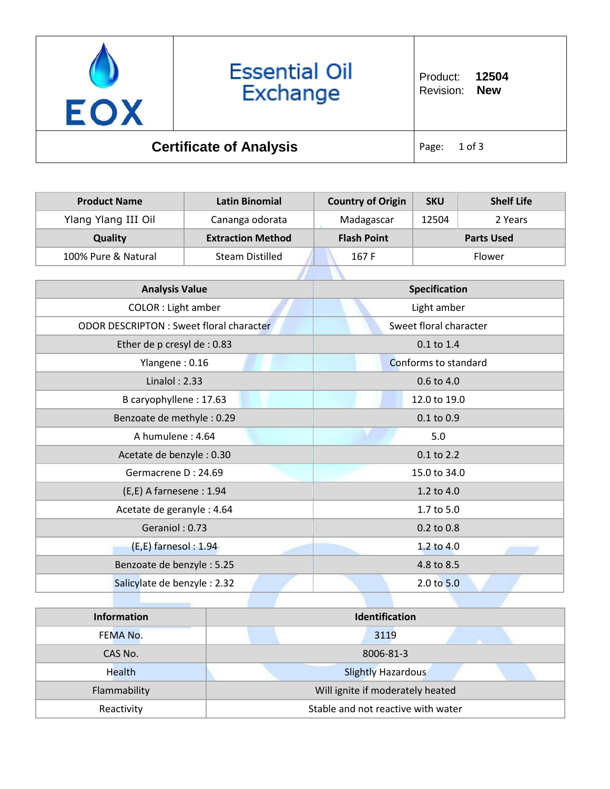

## **Essential Oil** Exchange

Product: **12504** Revision: **New**

## **Certificate of Analysis Page: 1 of 3**

| <b>Product Name</b>                            | <b>Latin Binomial</b>    | <b>Country of Origin</b> | <b>SKU</b> | <b>Shelf Life</b> |
|------------------------------------------------|--------------------------|--------------------------|------------|-------------------|
| Ylang Ylang III Oil                            | Cananga odorata          | Madagascar               | 12504      | 2 Years           |
| Quality                                        | <b>Extraction Method</b> | <b>Flash Point</b>       |            | <b>Parts Used</b> |
| 100% Pure & Natural                            | <b>Steam Distilled</b>   | 167F                     |            | Flower            |
|                                                |                          |                          |            |                   |
| <b>Analysis Value</b>                          |                          | Specification            |            |                   |
| <b>COLOR</b> : Light amber                     |                          | Light amber              |            |                   |
| <b>ODOR DESCRIPTON: Sweet floral character</b> |                          | Sweet floral character   |            |                   |
| Ether de p cresyl de : 0.83                    |                          | 0.1 to 1.4               |            |                   |
| Ylangene: 0.16                                 |                          | Conforms to standard     |            |                   |
| Linalol: $2.33$                                |                          | 0.6 to 4.0               |            |                   |
| B caryophyllene: 17.63                         |                          | 12.0 to 19.0             |            |                   |
| Benzoate de methyle: 0.29                      |                          | 0.1 to 0.9               |            |                   |
| A humulene: 4.64                               |                          | 5.0                      |            |                   |
| Acetate de benzyle : 0.30                      |                          | 0.1 to 2.2               |            |                   |
| Germacrene D: 24.69                            |                          | 15.0 to 34.0             |            |                   |
| (E,E) A farnesene: 1.94                        |                          | 1.2 to 4.0               |            |                   |
| Acetate de geranyle : 4.64                     |                          | 1.7 to 5.0               |            |                   |
| Geraniol: 0.73                                 |                          | 0.2 to 0.8               |            |                   |
| $(E,E)$ farnesol: 1.94                         |                          | 1.2 to 4.0               |            |                   |
| Benzoate de benzyle: 5.25                      |                          | 4.8 to 8.5               |            |                   |
| Salicylate de benzyle: 2.32                    |                          |                          | 2.0 to 5.0 |                   |
|                                                |                          |                          |            |                   |

| <b>Information</b> | <b>Identification</b>              |  |
|--------------------|------------------------------------|--|
| FEMA No.           | 3119                               |  |
| CAS No.            | 8006-81-3                          |  |
| <b>Health</b>      | <b>Slightly Hazardous</b>          |  |
| Flammability       | Will ignite if moderately heated   |  |
| Reactivity         | Stable and not reactive with water |  |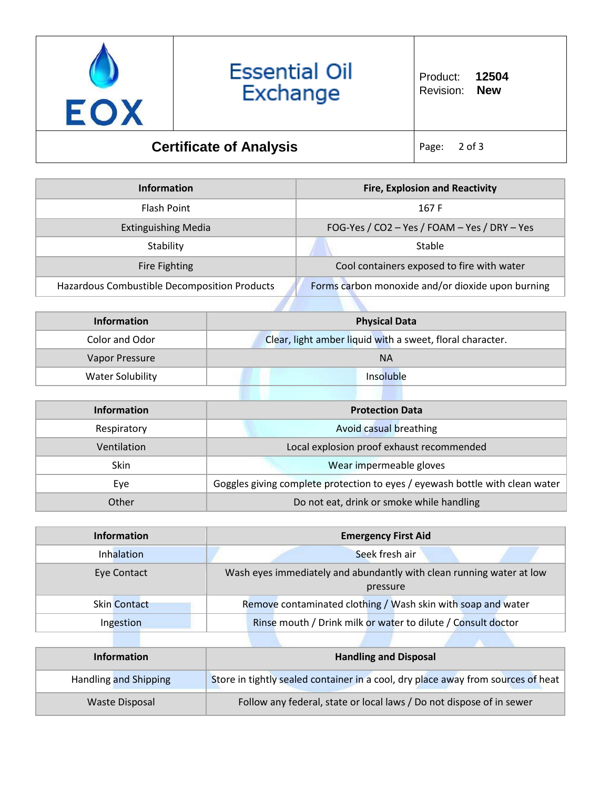

| <b>Information</b>                           | <b>Fire, Explosion and Reactivity</b>             |
|----------------------------------------------|---------------------------------------------------|
| Flash Point                                  | 167 F                                             |
| <b>Extinguishing Media</b>                   | FOG-Yes / CO2 - Yes / FOAM - Yes / DRY - Yes      |
| Stability                                    | Stable                                            |
| Fire Fighting                                | Cool containers exposed to fire with water        |
| Hazardous Combustible Decomposition Products | Forms carbon monoxide and/or dioxide upon burning |
|                                              |                                                   |

| Information      | <b>Physical Data</b>                                      |
|------------------|-----------------------------------------------------------|
| Color and Odor   | Clear, light amber liquid with a sweet, floral character. |
| Vapor Pressure   | <b>NA</b>                                                 |
| Water Solubility | Insoluble                                                 |

| <b>Information</b> | <b>Protection Data</b>                                                       |  |
|--------------------|------------------------------------------------------------------------------|--|
| Respiratory        | Avoid casual breathing                                                       |  |
| Ventilation        | Local explosion proof exhaust recommended                                    |  |
| <b>Skin</b>        | Wear impermeable gloves                                                      |  |
| Eye                | Goggles giving complete protection to eyes / eyewash bottle with clean water |  |
| Other              | Do not eat, drink or smoke while handling                                    |  |

| <b>Information</b>  | <b>Emergency First Aid</b>                                                       |  |  |
|---------------------|----------------------------------------------------------------------------------|--|--|
| Inhalation          | Seek fresh air                                                                   |  |  |
| Eye Contact         | Wash eyes immediately and abundantly with clean running water at low<br>pressure |  |  |
| <b>Skin Contact</b> | Remove contaminated clothing / Wash skin with soap and water                     |  |  |
| Ingestion           | Rinse mouth / Drink milk or water to dilute / Consult doctor                     |  |  |

| <b>Information</b>    | <b>Handling and Disposal</b>                                                     |
|-----------------------|----------------------------------------------------------------------------------|
| Handling and Shipping | Store in tightly sealed container in a cool, dry place away from sources of heat |
| Waste Disposal        | Follow any federal, state or local laws / Do not dispose of in sewer             |